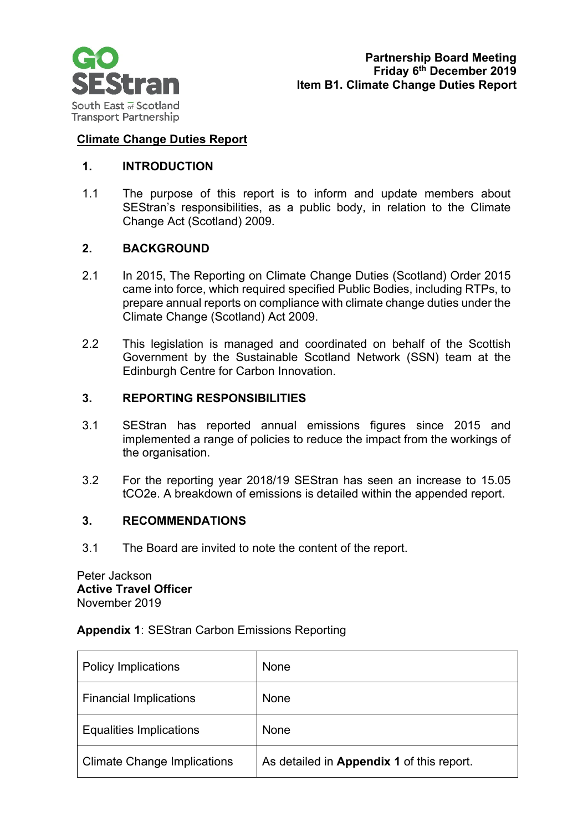

# **Climate Change Duties Report**

# **1. INTRODUCTION**

1.1 The purpose of this report is to inform and update members about SEStran's responsibilities, as a public body, in relation to the Climate Change Act (Scotland) 2009.

# **2. BACKGROUND**

- 2.1 In 2015, The Reporting on Climate Change Duties (Scotland) Order 2015 came into force, which required specified Public Bodies, including RTPs, to prepare annual reports on compliance with climate change duties under the Climate Change (Scotland) Act 2009.
- 2.2 This legislation is managed and coordinated on behalf of the Scottish Government by the Sustainable Scotland Network (SSN) team at the Edinburgh Centre for Carbon Innovation.

# **3. REPORTING RESPONSIBILITIES**

- 3.1 SEStran has reported annual emissions figures since 2015 and implemented a range of policies to reduce the impact from the workings of the organisation.
- 3.2 For the reporting year 2018/19 SEStran has seen an increase to 15.05 tCO2e. A breakdown of emissions is detailed within the appended report.

#### **3. RECOMMENDATIONS**

3.1 The Board are invited to note the content of the report.

Peter Jackson **Active Travel Officer**  November 2019

#### **Appendix 1**: SEStran Carbon Emissions Reporting

| <b>Policy Implications</b>         | None                                      |
|------------------------------------|-------------------------------------------|
| <b>Financial Implications</b>      | None                                      |
| <b>Equalities Implications</b>     | None                                      |
| <b>Climate Change Implications</b> | As detailed in Appendix 1 of this report. |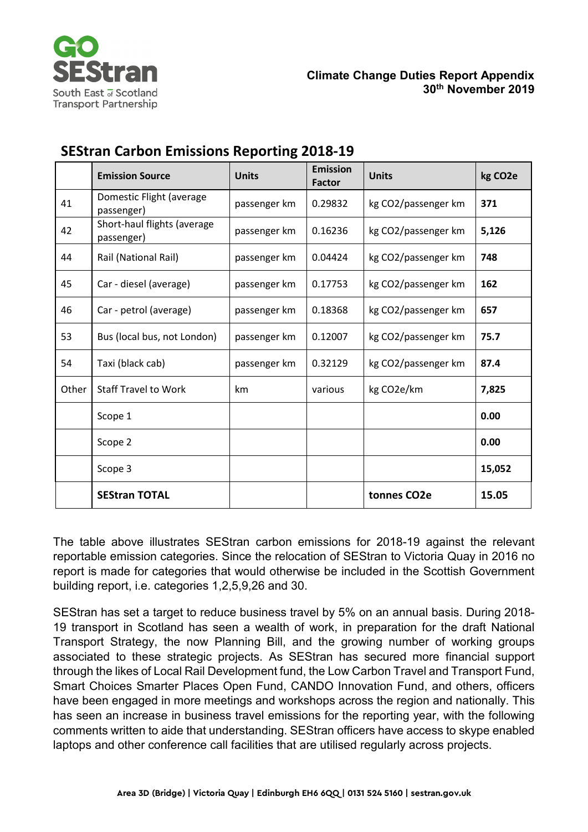

|       | <b>Emission Source</b>                    | <b>Units</b> | <b>Emission</b><br><b>Factor</b> | <b>Units</b>             | kg CO <sub>2</sub> e |
|-------|-------------------------------------------|--------------|----------------------------------|--------------------------|----------------------|
| 41    | Domestic Flight (average<br>passenger)    | passenger km | 0.29832                          | kg CO2/passenger km      | 371                  |
| 42    | Short-haul flights (average<br>passenger) | passenger km | 0.16236                          | kg CO2/passenger km      | 5,126                |
| 44    | Rail (National Rail)                      | passenger km | 0.04424                          | kg CO2/passenger km      | 748                  |
| 45    | Car - diesel (average)                    | passenger km | 0.17753                          | kg CO2/passenger km      | 162                  |
| 46    | Car - petrol (average)                    | passenger km | 0.18368                          | kg CO2/passenger km      | 657                  |
| 53    | Bus (local bus, not London)               | passenger km | 0.12007                          | kg CO2/passenger km      | 75.7                 |
| 54    | Taxi (black cab)                          | passenger km | 0.32129                          | kg CO2/passenger km      | 87.4                 |
| Other | <b>Staff Travel to Work</b>               | km           | various                          | kg CO2e/km               | 7,825                |
|       | Scope 1                                   |              |                                  |                          | 0.00                 |
|       | Scope 2                                   |              |                                  |                          | 0.00                 |
|       | Scope 3                                   |              |                                  |                          | 15,052               |
|       | <b>SEStran TOTAL</b>                      |              |                                  | tonnes CO <sub>2</sub> e | 15.05                |

# **SEStran Carbon Emissions Reporting 2018-19**

The table above illustrates SEStran carbon emissions for 2018-19 against the relevant reportable emission categories. Since the relocation of SEStran to Victoria Quay in 2016 no report is made for categories that would otherwise be included in the Scottish Government building report, i.e. categories 1,2,5,9,26 and 30.

SEStran has set a target to reduce business travel by 5% on an annual basis. During 2018- 19 transport in Scotland has seen a wealth of work, in preparation for the draft National Transport Strategy, the now Planning Bill, and the growing number of working groups associated to these strategic projects. As SEStran has secured more financial support through the likes of Local Rail Development fund, the Low Carbon Travel and Transport Fund, Smart Choices Smarter Places Open Fund, CANDO Innovation Fund, and others, officers have been engaged in more meetings and workshops across the region and nationally. This has seen an increase in business travel emissions for the reporting year, with the following comments written to aide that understanding. SEStran officers have access to skype enabled laptops and other conference call facilities that are utilised regularly across projects.